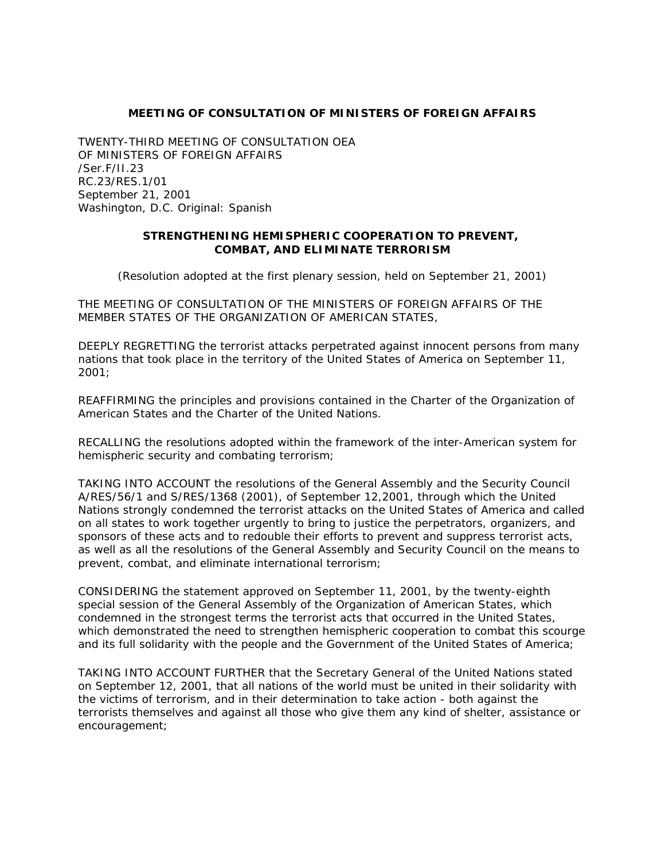## **MEETING OF CONSULTATION OF MINISTERS OF FOREIGN AFFAIRS**

TWENTY-THIRD MEETING OF CONSULTATION OEA OF MINISTERS OF FOREIGN AFFAIRS /Ser.F/II.23 RC.23/RES.1/01 September 21, 2001 Washington, D.C. Original: Spanish

## **STRENGTHENING HEMISPHERIC COOPERATION TO PREVENT, COMBAT, AND ELIMINATE TERRORISM**

(Resolution adopted at the first plenary session, held on September 21, 2001)

THE MEETING OF CONSULTATION OF THE MINISTERS OF FOREIGN AFFAIRS OF THE MEMBER STATES OF THE ORGANIZATION OF AMERICAN STATES,

DEEPLY REGRETTING the terrorist attacks perpetrated against innocent persons from many nations that took place in the territory of the United States of America on September 11, 2001;

REAFFIRMING the principles and provisions contained in the Charter of the Organization of American States and the Charter of the United Nations.

RECALLING the resolutions adopted within the framework of the inter-American system for hemispheric security and combating terrorism;

TAKING INTO ACCOUNT the resolutions of the General Assembly and the Security Council A/RES/56/1 and S/RES/1368 (2001), of September 12,2001, through which the United Nations strongly condemned the terrorist attacks on the United States of America and called on all states to work together urgently to bring to justice the perpetrators, organizers, and sponsors of these acts and to redouble their efforts to prevent and suppress terrorist acts, as well as all the resolutions of the General Assembly and Security Council on the means to prevent, combat, and eliminate international terrorism;

CONSIDERING the statement approved on September 11, 2001, by the twenty-eighth special session of the General Assembly of the Organization of American States, which condemned in the strongest terms the terrorist acts that occurred in the United States, which demonstrated the need to strengthen hemispheric cooperation to combat this scourge and its full solidarity with the people and the Government of the United States of America;

TAKING INTO ACCOUNT FURTHER that the Secretary General of the United Nations stated on September 12, 2001, that all nations of the world must be united in their solidarity with the victims of terrorism, and in their determination to take action - both against the terrorists themselves and against all those who give them any kind of shelter, assistance or encouragement;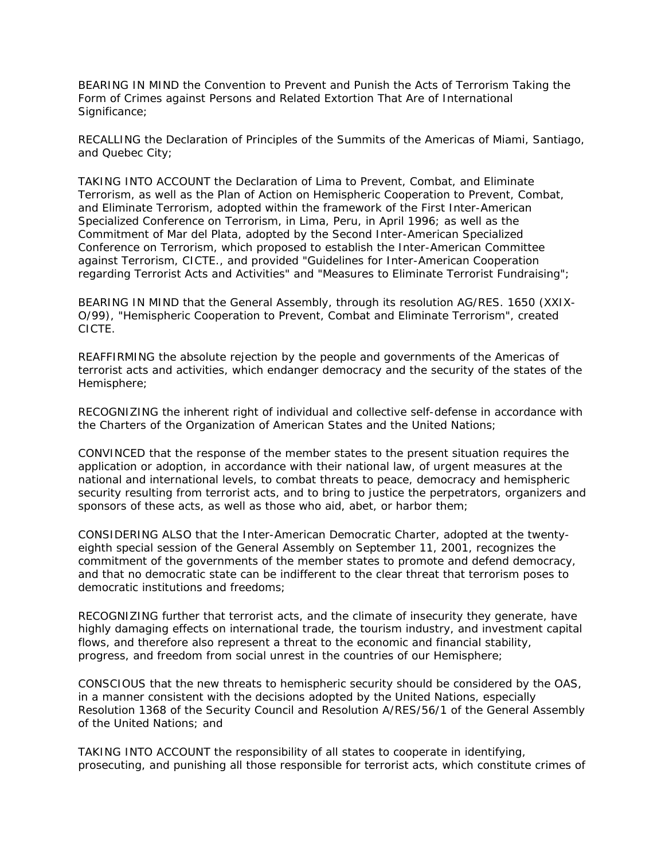BEARING IN MIND the Convention to Prevent and Punish the Acts of Terrorism Taking the Form of Crimes against Persons and Related Extortion That Are of International Significance;

RECALLING the Declaration of Principles of the Summits of the Americas of Miami, Santiago, and Quebec City;

TAKING INTO ACCOUNT the Declaration of Lima to Prevent, Combat, and Eliminate Terrorism, as well as the Plan of Action on Hemispheric Cooperation to Prevent, Combat, and Eliminate Terrorism, adopted within the framework of the First Inter-American Specialized Conference on Terrorism, in Lima, Peru, in April 1996; as well as the Commitment of Mar del Plata, adopted by the Second Inter-American Specialized Conference on Terrorism, which proposed to establish the Inter-American Committee against Terrorism, CICTE., and provided "Guidelines for Inter-American Cooperation regarding Terrorist Acts and Activities" and "Measures to Eliminate Terrorist Fundraising";

BEARING IN MIND that the General Assembly, through its resolution AG/RES. 1650 (XXIX-O/99), "Hemispheric Cooperation to Prevent, Combat and Eliminate Terrorism", created CICTE.

REAFFIRMING the absolute rejection by the people and governments of the Americas of terrorist acts and activities, which endanger democracy and the security of the states of the Hemisphere;

RECOGNIZING the inherent right of individual and collective self-defense in accordance with the Charters of the Organization of American States and the United Nations;

CONVINCED that the response of the member states to the present situation requires the application or adoption, in accordance with their national law, of urgent measures at the national and international levels, to combat threats to peace, democracy and hemispheric security resulting from terrorist acts, and to bring to justice the perpetrators, organizers and sponsors of these acts, as well as those who aid, abet, or harbor them;

CONSIDERING ALSO that the Inter-American Democratic Charter, adopted at the twentyeighth special session of the General Assembly on September 11, 2001, recognizes the commitment of the governments of the member states to promote and defend democracy, and that no democratic state can be indifferent to the clear threat that terrorism poses to democratic institutions and freedoms;

RECOGNIZING further that terrorist acts, and the climate of insecurity they generate, have highly damaging effects on international trade, the tourism industry, and investment capital flows, and therefore also represent a threat to the economic and financial stability, progress, and freedom from social unrest in the countries of our Hemisphere;

CONSCIOUS that the new threats to hemispheric security should be considered by the OAS, in a manner consistent with the decisions adopted by the United Nations, especially Resolution 1368 of the Security Council and Resolution A/RES/56/1 of the General Assembly of the United Nations; and

TAKING INTO ACCOUNT the responsibility of all states to cooperate in identifying, prosecuting, and punishing all those responsible for terrorist acts, which constitute crimes of